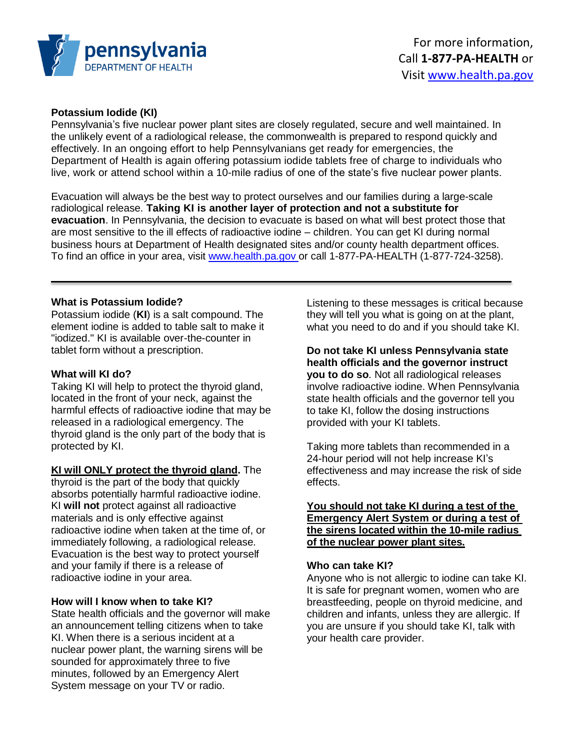

## **Potassium Iodide (KI)**

Pennsylvania's five nuclear power plant sites are closely regulated, secure and well maintained. In the unlikely event of a radiological release, the commonwealth is prepared to respond quickly and effectively. In an ongoing effort to help Pennsylvanians get ready for emergencies, the Department of Health is again offering potassium iodide tablets free of charge to individuals who live, work or attend school within a 10-mile radius of one of the state's five nuclear power plants.

Evacuation will always be the best way to protect ourselves and our families during a large-scale radiological release. **Taking KI is another layer of protection and not a substitute for evacuation**. In Pennsylvania, the decision to evacuate is based on what will best protect those that are most sensitive to the ill effects of radioactive iodine – children. You can get KI during normal business hours at Department of Health designated sites and/or county health department offices. To find an office in your area, visit www.health.pa.gov or call 1-877-PA-HEALTH (1-877-724-3258).

## **What is Potassium Iodide?**

Potassium iodide (**KI**) is a salt compound. The element iodine is added to table salt to make it "iodized." KI is available over-the-counter in tablet form without a prescription.

## **What will KI do?**

Taking KI will help to protect the thyroid gland, located in the front of your neck, against the harmful effects of radioactive iodine that may be released in a radiological emergency. The thyroid gland is the only part of the body that is protected by KI.

**KI will ONLY protect the thyroid gland.** The thyroid is the part of the body that quickly absorbs potentially harmful radioactive iodine. KI **will not** protect against all radioactive materials and is only effective against radioactive iodine when taken at the time of, or immediately following, a radiological release. Evacuation is the best way to protect yourself and your family if there is a release of radioactive iodine in your area.

## **How will I know when to take KI?**

State health officials and the governor will make an announcement telling citizens when to take KI. When there is a serious incident at a nuclear power plant, the warning sirens will be sounded for approximately three to five minutes, followed by an Emergency Alert System message on your TV or radio.

Listening to these messages is critical because they will tell you what is going on at the plant, what you need to do and if you should take KI.

**Do not take KI unless Pennsylvania state health officials and the governor instruct you to do so**. Not all radiological releases involve radioactive iodine. When Pennsylvania state health officials and the governor tell you to take KI, follow the dosing instructions provided with your KI tablets.

Taking more tablets than recommended in a 24-hour period will not help increase KI's effectiveness and may increase the risk of side effects.

**You should not take KI during a test of the Emergency Alert System or during a test of the sirens located within the 10-mile radius of the nuclear power plant sites.**

#### **Who can take KI?**

Anyone who is not allergic to iodine can take KI. It is safe for pregnant women, women who are breastfeeding, people on thyroid medicine, and children and infants, unless they are allergic. If you are unsure if you should take KI, talk with your health care provider.